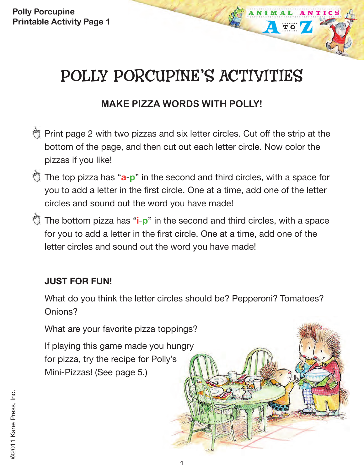**Polly Porcupine Printable Activity Page 1**

# POLLY PORCUPINE'S ACTIVITIES

**TO** 

## **MAKE PIZZA WORDS WITH POLLY!**

- **Print page 2 with two pizzas and six letter circles. Cut off the strip at the** bottom of the page, and then cut out each letter circle. Now color the pizzas if you like!
- The top pizza has "**a**-**p**" in the second and third circles, with a space for you to add a letter in the first circle. One at a time, add one of the letter circles and sound out the word you have made!
- The bottom pizza has "**i**-**p**" in the second and third circles, with a space for you to add a letter in the first circle. One at a time, add one of the letter circles and sound out the word you have made!

#### **JUST FOR FUN!**

What do you think the letter circles should be? Pepperoni? Tomatoes? Onions?

What are your favorite pizza toppings?

If playing this game made you hungry for pizza, try the recipe for Polly's Mini-Pizzas! (See page 5.)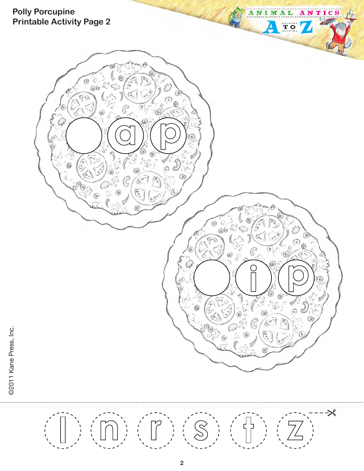

**2**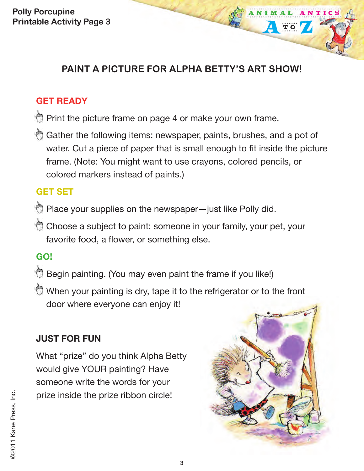**Polly Porcupine Printable Activity Page 3**

## **PAINT A PICTURE FOR ALPHA BETTY'S ART SHOW!**

#### **GET READY**

- Print the picture frame on page 4 or make your own frame.
- Gather the following items: newspaper, paints, brushes, and a pot of water. Cut a piece of paper that is small enough to fit inside the picture frame. (Note: You might want to use crayons, colored pencils, or colored markers instead of paints.)

#### **GET SET**

- Place your supplies on the newspaper-just like Polly did.
- Choose a subject to paint: someone in your family, your pet, your favorite food, a flower, or something else.

## **GO!**

- Begin painting. (You may even paint the frame if you like!)
- When your painting is dry, tape it to the refrigerator or to the front door where everyone can enjoy it!

## **JUST FOR FUN**

What "prize" do you think Alpha Betty would give YOUR painting? Have someone write the words for your prize inside the prize ribbon circle!



NTIC

**TO**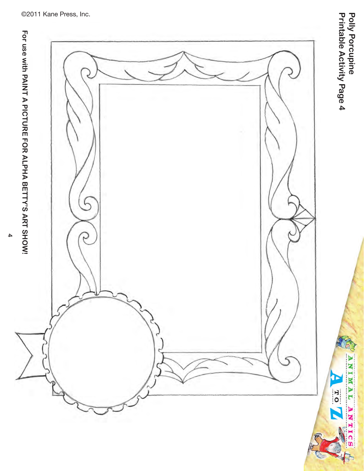